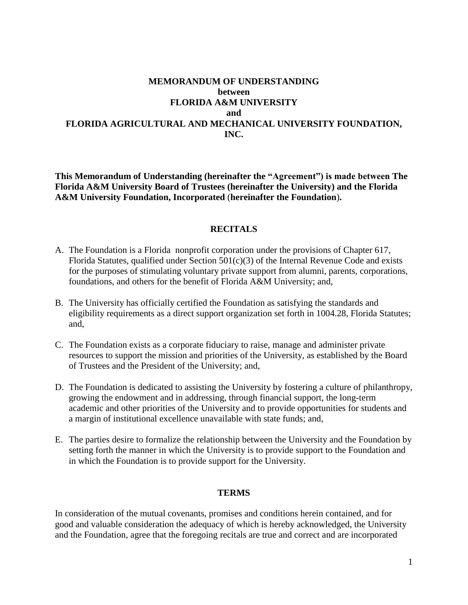# **MEMORANDUM OF UNDERSTANDING between FLORIDA A&M UNIVERSITY and FLORIDA AGRICULTURAL AND MECHANICAL UNIVERSITY FOUNDATION, INC.**

**This Memorandum of Understanding (hereinafter the "Agreement") is made between The Florida A&M University Board of Trustees (hereinafter the University) and the Florida A&M University Foundation, Incorporated** (**hereinafter the Foundation**)**.**

### **RECITALS**

- A. The Foundation is a Florida nonprofit corporation under the provisions of Chapter 617, Florida Statutes, qualified under Section 501(c)(3) of the Internal Revenue Code and exists for the purposes of stimulating voluntary private support from alumni, parents, corporations, foundations, and others for the benefit of Florida A&M University; and,
- B. The University has officially certified the Foundation as satisfying the standards and eligibility requirements as a direct support organization set forth in 1004.28, Florida Statutes; and,
- C. The Foundation exists as a corporate fiduciary to raise, manage and administer private resources to support the mission and priorities of the University, as established by the Board of Trustees and the President of the University; and,
- D. The Foundation is dedicated to assisting the University by fostering a culture of philanthropy, growing the endowment and in addressing, through financial support, the long-term academic and other priorities of the University and to provide opportunities for students and a margin of institutional excellence unavailable with state funds; and,
- E. The parties desire to formalize the relationship between the University and the Foundation by setting forth the manner in which the University is to provide support to the Foundation and in which the Foundation is to provide support for the University.

#### **TERMS**

In consideration of the mutual covenants, promises and conditions herein contained, and for good and valuable consideration the adequacy of which is hereby acknowledged, the University and the Foundation, agree that the foregoing recitals are true and correct and are incorporated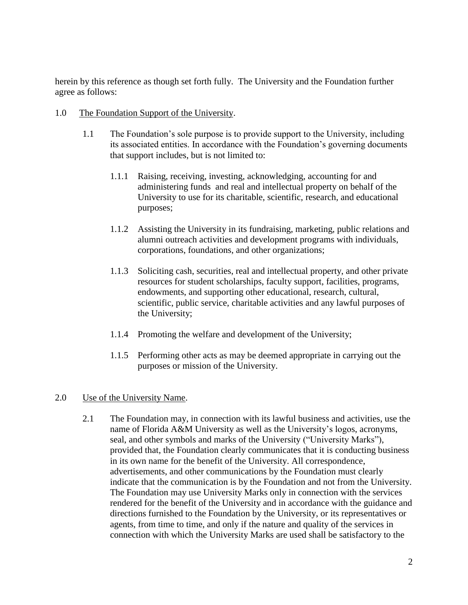herein by this reference as though set forth fully. The University and the Foundation further agree as follows:

- 1.0 The Foundation Support of the University.
	- 1.1 The Foundation's sole purpose is to provide support to the University, including its associated entities. In accordance with the Foundation's governing documents that support includes, but is not limited to:
		- 1.1.1 Raising, receiving, investing, acknowledging, accounting for and administering funds and real and intellectual property on behalf of the University to use for its charitable, scientific, research, and educational purposes;
		- 1.1.2 Assisting the University in its fundraising, marketing, public relations and alumni outreach activities and development programs with individuals, corporations, foundations, and other organizations;
		- 1.1.3 Soliciting cash, securities, real and intellectual property, and other private resources for student scholarships, faculty support, facilities, programs, endowments, and supporting other educational, research, cultural, scientific, public service, charitable activities and any lawful purposes of the University;
		- 1.1.4 Promoting the welfare and development of the University;
		- 1.1.5 Performing other acts as may be deemed appropriate in carrying out the purposes or mission of the University.

### 2.0 Use of the University Name.

2.1 The Foundation may, in connection with its lawful business and activities, use the name of Florida A&M University as well as the University's logos, acronyms, seal, and other symbols and marks of the University ("University Marks"), provided that, the Foundation clearly communicates that it is conducting business in its own name for the benefit of the University. All correspondence, advertisements, and other communications by the Foundation must clearly indicate that the communication is by the Foundation and not from the University. The Foundation may use University Marks only in connection with the services rendered for the benefit of the University and in accordance with the guidance and directions furnished to the Foundation by the University, or its representatives or agents, from time to time, and only if the nature and quality of the services in connection with which the University Marks are used shall be satisfactory to the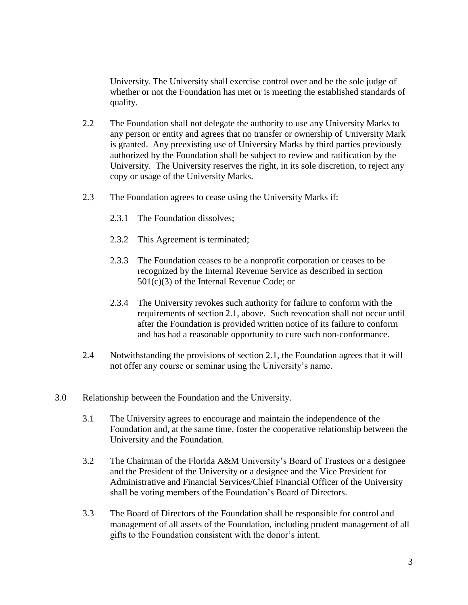University. The University shall exercise control over and be the sole judge of whether or not the Foundation has met or is meeting the established standards of quality.

- 2.2 The Foundation shall not delegate the authority to use any University Marks to any person or entity and agrees that no transfer or ownership of University Mark is granted. Any preexisting use of University Marks by third parties previously authorized by the Foundation shall be subject to review and ratification by the University. The University reserves the right, in its sole discretion, to reject any copy or usage of the University Marks.
- 2.3 The Foundation agrees to cease using the University Marks if:
	- 2.3.1 The Foundation dissolves;
	- 2.3.2 This Agreement is terminated;
	- 2.3.3 The Foundation ceases to be a nonprofit corporation or ceases to be recognized by the Internal Revenue Service as described in section 501(c)(3) of the Internal Revenue Code; or
	- 2.3.4 The University revokes such authority for failure to conform with the requirements of section 2.1, above. Such revocation shall not occur until after the Foundation is provided written notice of its failure to conform and has had a reasonable opportunity to cure such non-conformance.
- 2.4 Notwithstanding the provisions of section 2.1, the Foundation agrees that it will not offer any course or seminar using the University's name.

### 3.0 Relationship between the Foundation and the University.

- 3.1 The University agrees to encourage and maintain the independence of the Foundation and, at the same time, foster the cooperative relationship between the University and the Foundation.
- 3.2 The Chairman of the Florida A&M University's Board of Trustees or a designee and the President of the University or a designee and the Vice President for Administrative and Financial Services/Chief Financial Officer of the University shall be voting members of the Foundation's Board of Directors.
- 3.3 The Board of Directors of the Foundation shall be responsible for control and management of all assets of the Foundation, including prudent management of all gifts to the Foundation consistent with the donor's intent.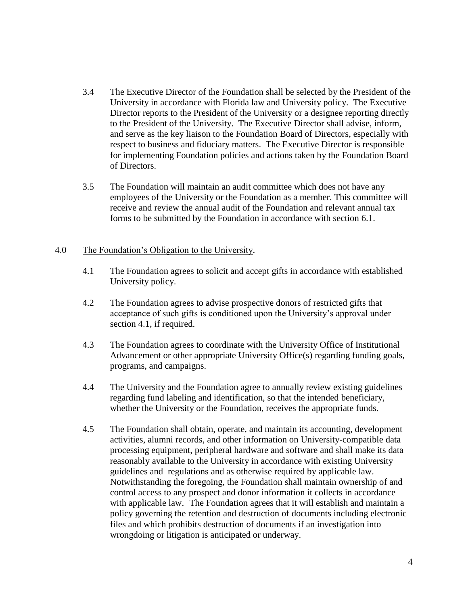- 3.4 The Executive Director of the Foundation shall be selected by the President of the University in accordance with Florida law and University policy. The Executive Director reports to the President of the University or a designee reporting directly to the President of the University. The Executive Director shall advise, inform, and serve as the key liaison to the Foundation Board of Directors, especially with respect to business and fiduciary matters. The Executive Director is responsible for implementing Foundation policies and actions taken by the Foundation Board of Directors.
- 3.5 The Foundation will maintain an audit committee which does not have any employees of the University or the Foundation as a member. This committee will receive and review the annual audit of the Foundation and relevant annual tax forms to be submitted by the Foundation in accordance with section 6.1.

### 4.0 The Foundation's Obligation to the University.

- 4.1 The Foundation agrees to solicit and accept gifts in accordance with established University policy.
- 4.2 The Foundation agrees to advise prospective donors of restricted gifts that acceptance of such gifts is conditioned upon the University's approval under section 4.1, if required.
- 4.3 The Foundation agrees to coordinate with the University Office of Institutional Advancement or other appropriate University Office(s) regarding funding goals, programs, and campaigns.
- 4.4 The University and the Foundation agree to annually review existing guidelines regarding fund labeling and identification, so that the intended beneficiary, whether the University or the Foundation, receives the appropriate funds.
- 4.5 The Foundation shall obtain, operate, and maintain its accounting, development activities, alumni records, and other information on University-compatible data processing equipment, peripheral hardware and software and shall make its data reasonably available to the University in accordance with existing University guidelines and regulations and as otherwise required by applicable law. Notwithstanding the foregoing, the Foundation shall maintain ownership of and control access to any prospect and donor information it collects in accordance with applicable law. The Foundation agrees that it will establish and maintain a policy governing the retention and destruction of documents including electronic files and which prohibits destruction of documents if an investigation into wrongdoing or litigation is anticipated or underway.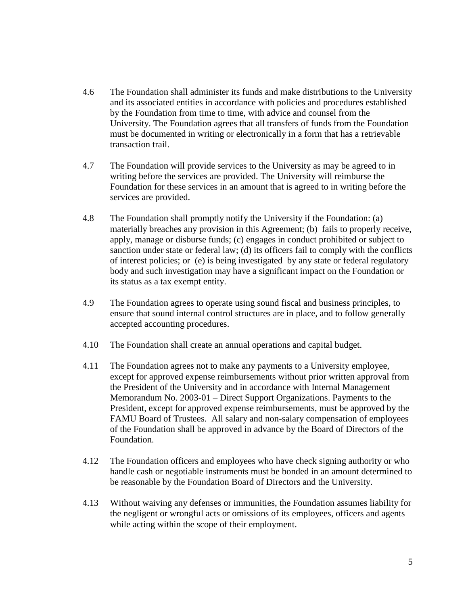- 4.6 The Foundation shall administer its funds and make distributions to the University and its associated entities in accordance with policies and procedures established by the Foundation from time to time, with advice and counsel from the University. The Foundation agrees that all transfers of funds from the Foundation must be documented in writing or electronically in a form that has a retrievable transaction trail.
- 4.7 The Foundation will provide services to the University as may be agreed to in writing before the services are provided. The University will reimburse the Foundation for these services in an amount that is agreed to in writing before the services are provided.
- 4.8 The Foundation shall promptly notify the University if the Foundation: (a) materially breaches any provision in this Agreement; (b) fails to properly receive, apply, manage or disburse funds; (c) engages in conduct prohibited or subject to sanction under state or federal law; (d) its officers fail to comply with the conflicts of interest policies; or (e) is being investigated by any state or federal regulatory body and such investigation may have a significant impact on the Foundation or its status as a tax exempt entity.
- 4.9 The Foundation agrees to operate using sound fiscal and business principles, to ensure that sound internal control structures are in place, and to follow generally accepted accounting procedures.
- 4.10 The Foundation shall create an annual operations and capital budget.
- 4.11 The Foundation agrees not to make any payments to a University employee, except for approved expense reimbursements without prior written approval from the President of the University and in accordance with Internal Management Memorandum No. 2003-01 – Direct Support Organizations. Payments to the President, except for approved expense reimbursements, must be approved by the FAMU Board of Trustees. All salary and non-salary compensation of employees of the Foundation shall be approved in advance by the Board of Directors of the Foundation.
- 4.12 The Foundation officers and employees who have check signing authority or who handle cash or negotiable instruments must be bonded in an amount determined to be reasonable by the Foundation Board of Directors and the University.
- 4.13 Without waiving any defenses or immunities, the Foundation assumes liability for the negligent or wrongful acts or omissions of its employees, officers and agents while acting within the scope of their employment.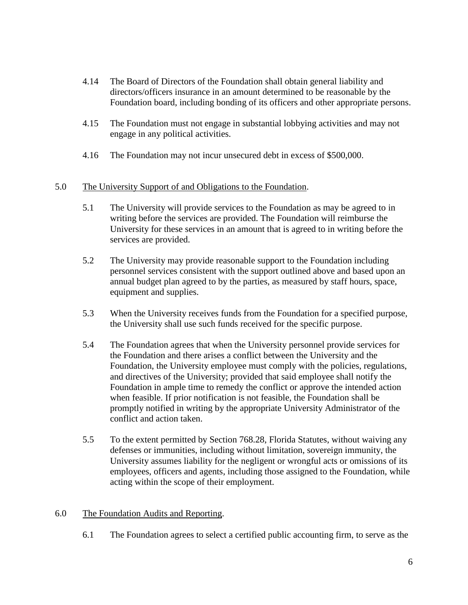- 4.14 The Board of Directors of the Foundation shall obtain general liability and directors/officers insurance in an amount determined to be reasonable by the Foundation board, including bonding of its officers and other appropriate persons.
- 4.15 The Foundation must not engage in substantial lobbying activities and may not engage in any political activities.
- 4.16 The Foundation may not incur unsecured debt in excess of \$500,000.

## 5.0 The University Support of and Obligations to the Foundation.

- 5.1 The University will provide services to the Foundation as may be agreed to in writing before the services are provided. The Foundation will reimburse the University for these services in an amount that is agreed to in writing before the services are provided.
- 5.2 The University may provide reasonable support to the Foundation including personnel services consistent with the support outlined above and based upon an annual budget plan agreed to by the parties, as measured by staff hours, space, equipment and supplies.
- 5.3 When the University receives funds from the Foundation for a specified purpose, the University shall use such funds received for the specific purpose.
- 5.4 The Foundation agrees that when the University personnel provide services for the Foundation and there arises a conflict between the University and the Foundation, the University employee must comply with the policies, regulations, and directives of the University; provided that said employee shall notify the Foundation in ample time to remedy the conflict or approve the intended action when feasible. If prior notification is not feasible, the Foundation shall be promptly notified in writing by the appropriate University Administrator of the conflict and action taken.
- 5.5 To the extent permitted by Section 768.28, Florida Statutes, without waiving any defenses or immunities, including without limitation, sovereign immunity, the University assumes liability for the negligent or wrongful acts or omissions of its employees, officers and agents, including those assigned to the Foundation, while acting within the scope of their employment.

# 6.0 The Foundation Audits and Reporting.

6.1 The Foundation agrees to select a certified public accounting firm, to serve as the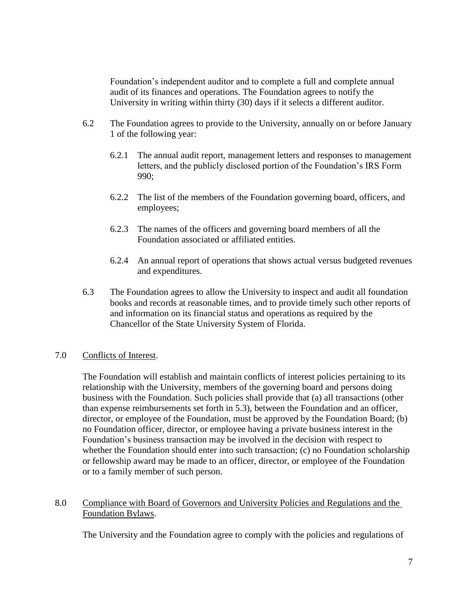Foundation's independent auditor and to complete a full and complete annual audit of its finances and operations. The Foundation agrees to notify the University in writing within thirty (30) days if it selects a different auditor.

- 6.2 The Foundation agrees to provide to the University, annually on or before January 1 of the following year:
	- 6.2.1 The annual audit report, management letters and responses to management letters, and the publicly disclosed portion of the Foundation's IRS Form 990;
	- 6.2.2 The list of the members of the Foundation governing board, officers, and employees;
	- 6.2.3 The names of the officers and governing board members of all the Foundation associated or affiliated entities.
	- 6.2.4 An annual report of operations that shows actual versus budgeted revenues and expenditures.
- 6.3 The Foundation agrees to allow the University to inspect and audit all foundation books and records at reasonable times, and to provide timely such other reports of and information on its financial status and operations as required by the Chancellor of the State University System of Florida.

# 7.0 Conflicts of Interest.

The Foundation will establish and maintain conflicts of interest policies pertaining to its relationship with the University, members of the governing board and persons doing business with the Foundation. Such policies shall provide that (a) all transactions (other than expense reimbursements set forth in 5.3), between the Foundation and an officer, director, or employee of the Foundation, must be approved by the Foundation Board; (b) no Foundation officer, director, or employee having a private business interest in the Foundation's business transaction may be involved in the decision with respect to whether the Foundation should enter into such transaction; (c) no Foundation scholarship or fellowship award may be made to an officer, director, or employee of the Foundation or to a family member of such person.

# 8.0 Compliance with Board of Governors and University Policies and Regulations and the Foundation Bylaws.

The University and the Foundation agree to comply with the policies and regulations of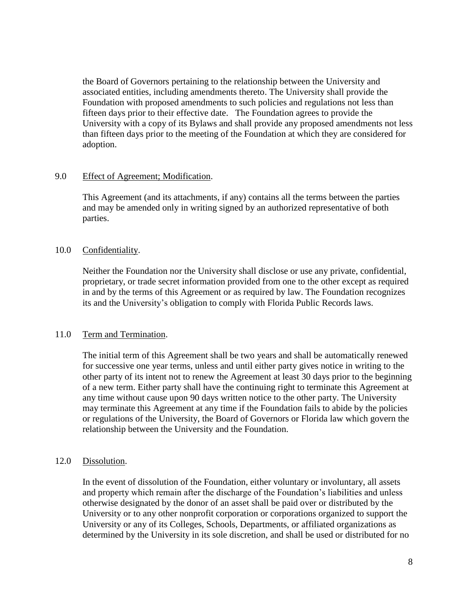the Board of Governors pertaining to the relationship between the University and associated entities, including amendments thereto. The University shall provide the Foundation with proposed amendments to such policies and regulations not less than fifteen days prior to their effective date. The Foundation agrees to provide the University with a copy of its Bylaws and shall provide any proposed amendments not less than fifteen days prior to the meeting of the Foundation at which they are considered for adoption.

## 9.0 Effect of Agreement; Modification.

This Agreement (and its attachments, if any) contains all the terms between the parties and may be amended only in writing signed by an authorized representative of both parties.

## 10.0 Confidentiality.

Neither the Foundation nor the University shall disclose or use any private, confidential, proprietary, or trade secret information provided from one to the other except as required in and by the terms of this Agreement or as required by law. The Foundation recognizes its and the University's obligation to comply with Florida Public Records laws.

# 11.0 Term and Termination.

The initial term of this Agreement shall be two years and shall be automatically renewed for successive one year terms, unless and until either party gives notice in writing to the other party of its intent not to renew the Agreement at least 30 days prior to the beginning of a new term. Either party shall have the continuing right to terminate this Agreement at any time without cause upon 90 days written notice to the other party. The University may terminate this Agreement at any time if the Foundation fails to abide by the policies or regulations of the University, the Board of Governors or Florida law which govern the relationship between the University and the Foundation.

### 12.0 Dissolution.

In the event of dissolution of the Foundation, either voluntary or involuntary, all assets and property which remain after the discharge of the Foundation's liabilities and unless otherwise designated by the donor of an asset shall be paid over or distributed by the University or to any other nonprofit corporation or corporations organized to support the University or any of its Colleges, Schools, Departments, or affiliated organizations as determined by the University in its sole discretion, and shall be used or distributed for no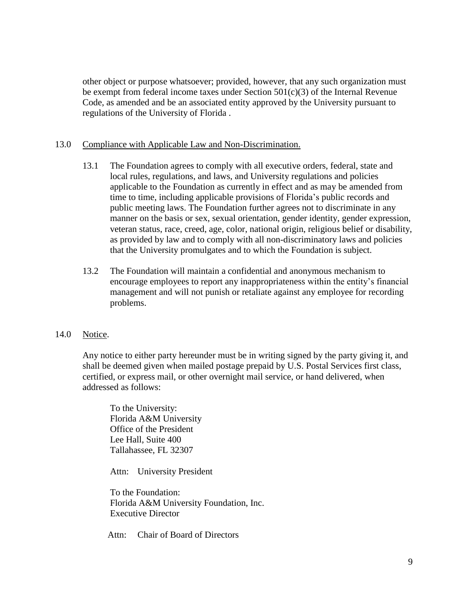other object or purpose whatsoever; provided, however, that any such organization must be exempt from federal income taxes under Section  $501(c)(3)$  of the Internal Revenue Code, as amended and be an associated entity approved by the University pursuant to regulations of the University of Florida .

## 13.0 Compliance with Applicable Law and Non-Discrimination.

- 13.1 The Foundation agrees to comply with all executive orders, federal, state and local rules, regulations, and laws, and University regulations and policies applicable to the Foundation as currently in effect and as may be amended from time to time, including applicable provisions of Florida's public records and public meeting laws. The Foundation further agrees not to discriminate in any manner on the basis or sex, sexual orientation, gender identity, gender expression, veteran status, race, creed, age, color, national origin, religious belief or disability, as provided by law and to comply with all non-discriminatory laws and policies that the University promulgates and to which the Foundation is subject.
- 13.2 The Foundation will maintain a confidential and anonymous mechanism to encourage employees to report any inappropriateness within the entity's financial management and will not punish or retaliate against any employee for recording problems.

### 14.0 Notice.

Any notice to either party hereunder must be in writing signed by the party giving it, and shall be deemed given when mailed postage prepaid by U.S. Postal Services first class, certified, or express mail, or other overnight mail service, or hand delivered, when addressed as follows:

To the University: Florida A&M University Office of the President Lee Hall, Suite 400 Tallahassee, FL 32307

Attn: University President

To the Foundation: Florida A&M University Foundation, Inc. Executive Director

Attn: Chair of Board of Directors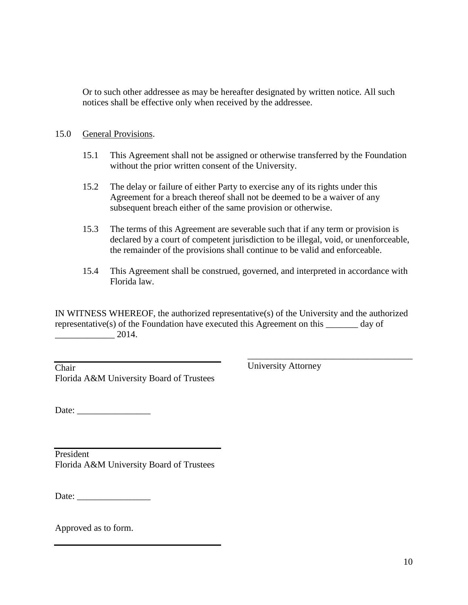Or to such other addressee as may be hereafter designated by written notice. All such notices shall be effective only when received by the addressee.

### 15.0 General Provisions.

- 15.1 This Agreement shall not be assigned or otherwise transferred by the Foundation without the prior written consent of the University.
- 15.2 The delay or failure of either Party to exercise any of its rights under this Agreement for a breach thereof shall not be deemed to be a waiver of any subsequent breach either of the same provision or otherwise.
- 15.3 The terms of this Agreement are severable such that if any term or provision is declared by a court of competent jurisdiction to be illegal, void, or unenforceable, the remainder of the provisions shall continue to be valid and enforceable.
- 15.4 This Agreement shall be construed, governed, and interpreted in accordance with Florida law.

IN WITNESS WHEREOF, the authorized representative(s) of the University and the authorized representative(s) of the Foundation have executed this Agreement on this \_\_\_\_\_\_\_ day of \_\_\_\_\_\_\_\_\_\_\_\_\_ 2014.

| Chair                                    |  |
|------------------------------------------|--|
| Florida A&M University Board of Trustees |  |

University Attorney

\_\_\_\_\_\_\_\_\_\_\_\_\_\_\_\_\_\_\_\_\_\_\_\_\_\_\_\_\_\_\_\_\_\_\_\_

Date: \_\_\_\_\_\_\_\_\_\_\_\_\_\_\_\_

President Florida A&M University Board of Trustees

Date:

Approved as to form.